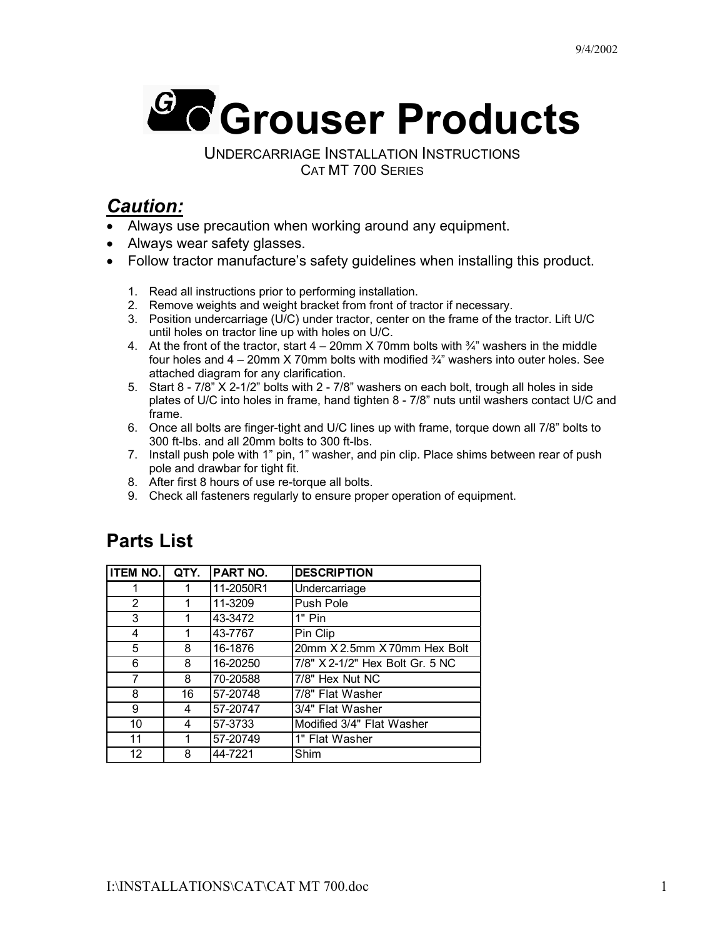

UNDERCARRIAGE INSTALLATION INSTRUCTIONS CAT MT 700 SERIES

## *Caution:*

- Always use precaution when working around any equipment.
- Always wear safety glasses.
- Follow tractor manufacture's safety guidelines when installing this product.
	- 1. Read all instructions prior to performing installation.
	- 2. Remove weights and weight bracket from front of tractor if necessary.
	- 3. Position undercarriage (U/C) under tractor, center on the frame of the tractor. Lift U/C until holes on tractor line up with holes on U/C.
	- 4. At the front of the tractor, start  $4 20$ mm  $\times$  70mm bolts with  $\frac{3}{4}$ " washers in the middle four holes and  $4 - 20$ mm X 70mm bolts with modified  $\frac{3}{4}$ " washers into outer holes. See attached diagram for any clarification.
	- 5. Start 8 7/8" X 2-1/2" bolts with 2 7/8" washers on each bolt, trough all holes in side plates of U/C into holes in frame, hand tighten 8 - 7/8" nuts until washers contact U/C and frame.
	- 6. Once all bolts are finger-tight and U/C lines up with frame, torque down all 7/8" bolts to 300 ft-lbs. and all 20mm bolts to 300 ft-lbs.
	- 7. Install push pole with 1" pin, 1" washer, and pin clip. Place shims between rear of push pole and drawbar for tight fit.
	- 8. After first 8 hours of use re-torque all bolts.
	- 9. Check all fasteners regularly to ensure proper operation of equipment.

## **Parts List**

| <b>ITEM NO.</b>   | QTY. | PART NO.  | <b>DESCRIPTION</b>              |  |
|-------------------|------|-----------|---------------------------------|--|
| 1                 | 1    | 11-2050R1 | Undercarriage                   |  |
| 2                 | 1    | 11-3209   | Push Pole                       |  |
| 3                 | 1    | 43-3472   | 1" Pin                          |  |
| 4                 |      | 43-7767   | Pin Clip                        |  |
| 5                 | 8    | 16-1876   | 20mm X 2.5mm X 70mm Hex Bolt    |  |
| 6                 | 8    | 16-20250  | 7/8" X 2-1/2" Hex Bolt Gr. 5 NC |  |
| 7                 | 8    | 70-20588  | 7/8" Hex Nut NC                 |  |
| 8                 | 16   | 57-20748  | 7/8" Flat Washer                |  |
| 9                 | 4    | 57-20747  | 3/4" Flat Washer                |  |
| 10                | 4    | 57-3733   | Modified 3/4" Flat Washer       |  |
| 11                | 1    | 57-20749  | 1" Flat Washer                  |  |
| $12 \overline{ }$ | 8    | 44-7221   | Shim                            |  |